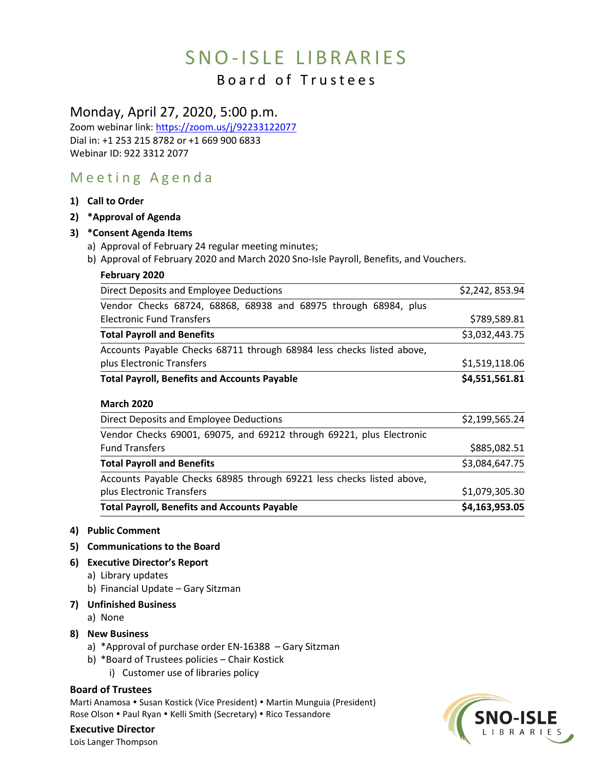# SNO-ISLE LIBRARIES

## Board of Trustees

### Monday, April 27, 2020, 5:00 p.m.

Zoom webinar link:<https://zoom.us/j/92233122077> Dial in: +1 253 215 8782 or +1 669 900 6833 Webinar ID: 922 3312 2077

## Meeting Agenda

**1) Call to Order**

#### **2) \*Approval of Agenda**

#### **3) \*Consent Agenda Items**

- a) Approval of February 24 regular meeting minutes;
- b) Approval of February 2020 and March 2020 Sno-Isle Payroll, Benefits, and Vouchers.

| February 2020                                                         |                 |
|-----------------------------------------------------------------------|-----------------|
| Direct Deposits and Employee Deductions                               | \$2,242, 853.94 |
| Vendor Checks 68724, 68868, 68938 and 68975 through 68984, plus       |                 |
| <b>Electronic Fund Transfers</b>                                      | \$789,589.81    |
| <b>Total Payroll and Benefits</b>                                     | \$3,032,443.75  |
| Accounts Payable Checks 68711 through 68984 less checks listed above, |                 |
| plus Electronic Transfers                                             | \$1,519,118.06  |
| <b>Total Payroll, Benefits and Accounts Payable</b>                   | \$4,551,561.81  |
| <b>March 2020</b>                                                     |                 |
| Direct Deposits and Employee Deductions                               | \$2,199,565.24  |
| Vendor Checks 69001, 69075, and 69212 through 69221, plus Electronic  |                 |
| <b>Fund Transfers</b>                                                 | \$885,082.51    |
| <b>Total Payroll and Benefits</b>                                     | \$3,084,647.75  |
| Accounts Payable Checks 68985 through 69221 less checks listed above, |                 |
| plus Electronic Transfers                                             | \$1,079,305.30  |
| <b>Total Payroll, Benefits and Accounts Payable</b>                   | \$4,163,953.05  |

#### **4) Public Comment**

#### **5) Communications to the Board**

- **6) Executive Director's Report**
	- a) Library updates
	- b) Financial Update Gary Sitzman

#### **7) Unfinished Business**

a) None

#### **8) New Business**

- a) \*Approval of purchase order EN-16388 Gary Sitzman
- b) \*Board of Trustees policies Chair Kostick
	- i) Customer use of libraries policy

#### **Board of Trustees**

Marti Anamosa • Susan Kostick (Vice President) • Martin Munguia (President) Rose Olson . Paul Ryan . Kelli Smith (Secretary) . Rico Tessandore

**Executive Director** Lois Langer Thompson